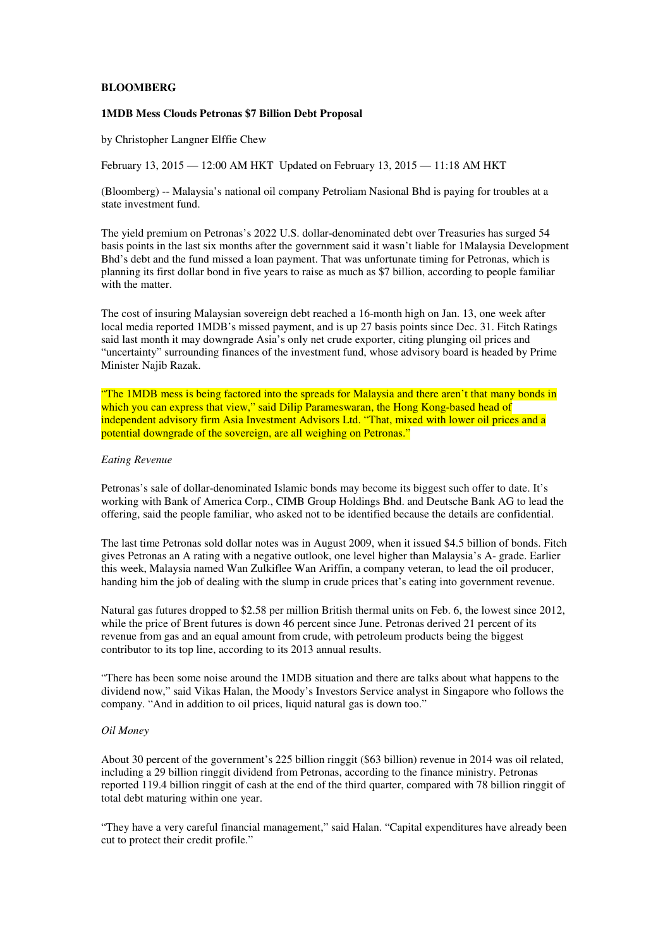# **BLOOMBERG**

### **1MDB Mess Clouds Petronas \$7 Billion Debt Proposal**

by Christopher Langner Elffie Chew

February 13, 2015 — 12:00 AM HKT Updated on February 13, 2015 — 11:18 AM HKT

(Bloomberg) -- Malaysia's national oil company Petroliam Nasional Bhd is paying for troubles at a state investment fund.

The yield premium on Petronas's 2022 U.S. dollar-denominated debt over Treasuries has surged 54 basis points in the last six months after the government said it wasn't liable for 1Malaysia Development Bhd's debt and the fund missed a loan payment. That was unfortunate timing for Petronas, which is planning its first dollar bond in five years to raise as much as \$7 billion, according to people familiar with the matter.

The cost of insuring Malaysian sovereign debt reached a 16-month high on Jan. 13, one week after local media reported 1MDB's missed payment, and is up 27 basis points since Dec. 31. Fitch Ratings said last month it may downgrade Asia's only net crude exporter, citing plunging oil prices and "uncertainty" surrounding finances of the investment fund, whose advisory board is headed by Prime Minister Najib Razak.

"The 1MDB mess is being factored into the spreads for Malaysia and there aren't that many bonds in which you can express that view," said Dilip Parameswaran, the Hong Kong-based head of independent advisory firm Asia Investment Advisors Ltd. "That, mixed with lower oil prices and a potential downgrade of the sovereign, are all weighing on Petronas."

### *Eating Revenue*

Petronas's sale of dollar-denominated Islamic bonds may become its biggest such offer to date. It's working with Bank of America Corp., CIMB Group Holdings Bhd. and Deutsche Bank AG to lead the offering, said the people familiar, who asked not to be identified because the details are confidential.

The last time Petronas sold dollar notes was in August 2009, when it issued \$4.5 billion of bonds. Fitch gives Petronas an A rating with a negative outlook, one level higher than Malaysia's A- grade. Earlier this week, Malaysia named Wan Zulkiflee Wan Ariffin, a company veteran, to lead the oil producer, handing him the job of dealing with the slump in crude prices that's eating into government revenue.

Natural gas futures dropped to \$2.58 per million British thermal units on Feb. 6, the lowest since 2012, while the price of Brent futures is down 46 percent since June. Petronas derived 21 percent of its revenue from gas and an equal amount from crude, with petroleum products being the biggest contributor to its top line, according to its 2013 annual results.

"There has been some noise around the 1MDB situation and there are talks about what happens to the dividend now," said Vikas Halan, the Moody's Investors Service analyst in Singapore who follows the company. "And in addition to oil prices, liquid natural gas is down too."

#### *Oil Money*

About 30 percent of the government's 225 billion ringgit (\$63 billion) revenue in 2014 was oil related, including a 29 billion ringgit dividend from Petronas, according to the finance ministry. Petronas reported 119.4 billion ringgit of cash at the end of the third quarter, compared with 78 billion ringgit of total debt maturing within one year.

"They have a very careful financial management," said Halan. "Capital expenditures have already been cut to protect their credit profile."